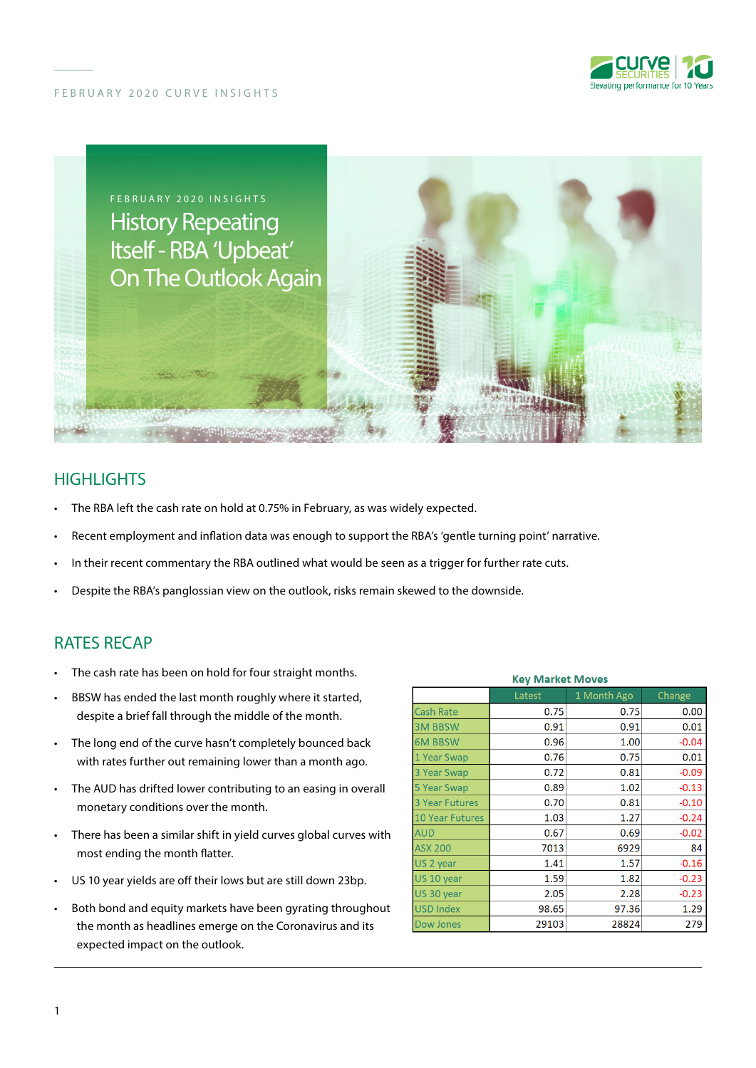





## **HIGHLIGHTS**

- The RBA left the cash rate on hold at 0.75% in February, as was widely expected.
- Recent employment and inflation data was enough to support the RBA's 'gentle turning point' narrative.
- In their recent commentary the RBA outlined what would be seen as a trigger for further rate cuts.
- Despite the RBA's panglossian view on the outlook, risks remain skewed to the downside.

## RATES RECAP

- The cash rate has been on hold for four straight months.
- BBSW has ended the last month roughly where it started, despite a brief fall through the middle of the month.
- The long end of the curve hasn't completely bounced back with rates further out remaining lower than a month ago.
- The AUD has drifted lower contributing to an easing in overall monetary conditions over the month.
- There has been a similar shift in yield curves global curves with most ending the month flatter.
- US 10 year yields are off their lows but are still down 23bp.
- Both bond and equity markets have been gyrating throughout the month as headlines emerge on the Coronavirus and its expected impact on the outlook.

| <b>Key Market Moves</b> |        |             |         |
|-------------------------|--------|-------------|---------|
|                         | Latest | 1 Month Ago | Change  |
| <b>Cash Rate</b>        | 0.75   | 0.75        | 0.00    |
| <b>3M BBSW</b>          | 0.91   | 0.91        | 0.01    |
| <b>6M BBSW</b>          | 0.96   | 1.00        | $-0.04$ |
| 1 Year Swap             | 0.76   | 0.75        | 0.01    |
| 3 Year Swap             | 0.72   | 0.81        | $-0.09$ |
| 5 Year Swap             | 0.89   | 1.02        | $-0.13$ |
| <b>3 Year Futures</b>   | 0.70   | 0.81        | $-0.10$ |
| <b>10 Year Futures</b>  | 1.03   | 1.27        | $-0.24$ |
| <b>AUD</b>              | 0.67   | 0.69        | $-0.02$ |
| <b>ASX 200</b>          | 7013   | 6929        | 84      |
| US 2 year               | 1.41   | 1.57        | $-0.16$ |
| US 10 year              | 1.59   | 1.82        | $-0.23$ |
| US 30 year              | 2.05   | 2.28        | $-0.23$ |
| <b>USD Index</b>        | 98.65  | 97.36       | 1.29    |
| Dow Jones               | 29103  | 28824       | 279     |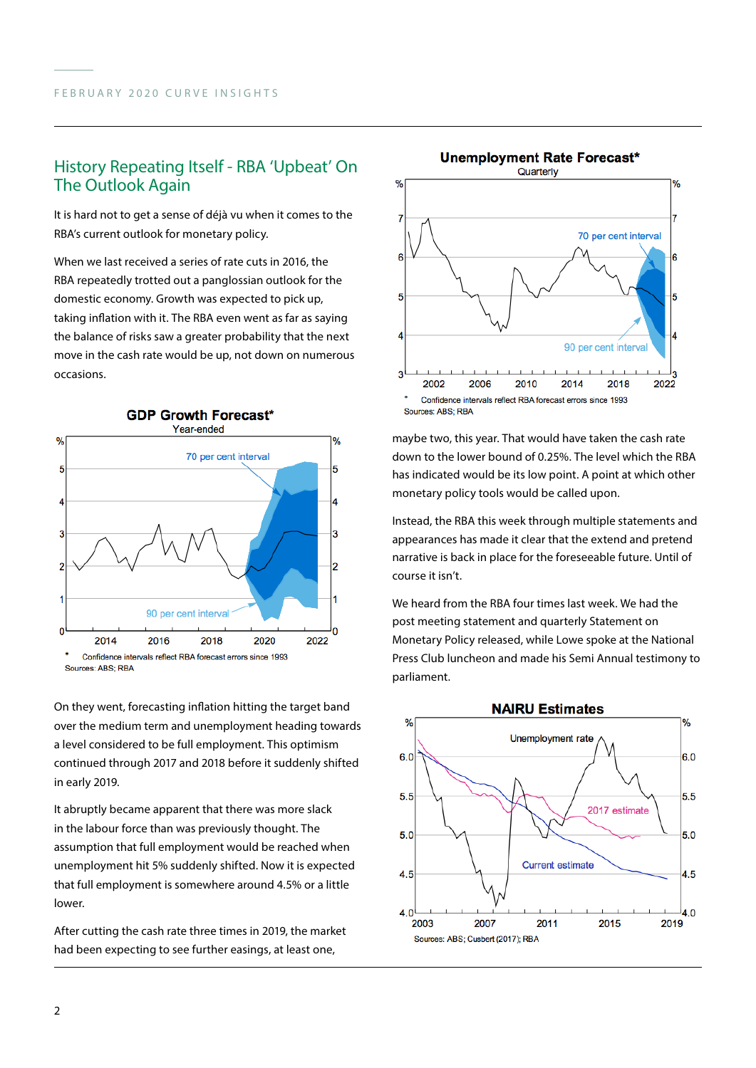## History Repeating Itself - RBA 'Upbeat' On The Outlook Again

It is hard not to get a sense of déjà vu when it comes to the RBA's current outlook for monetary policy.

When we last received a series of rate cuts in 2016, the RBA repeatedly trotted out a panglossian outlook for the domestic economy. Growth was expected to pick up, taking inflation with it. The RBA even went as far as saying the balance of risks saw a greater probability that the next move in the cash rate would be up, not down on numerous occasions.



On they went, forecasting inflation hitting the target band over the medium term and unemployment heading towards a level considered to be full employment. This optimism continued through 2017 and 2018 before it suddenly shifted in early 2019.

It abruptly became apparent that there was more slack in the labour force than was previously thought. The assumption that full employment would be reached when unemployment hit 5% suddenly shifted. Now it is expected that full employment is somewhere around 4.5% or a little lower.

After cutting the cash rate three times in 2019, the market had been expecting to see further easings, at least one,



maybe two, this year. That would have taken the cash rate down to the lower bound of 0.25%. The level which the RBA has indicated would be its low point. A point at which other monetary policy tools would be called upon.

Instead, the RBA this week through multiple statements and appearances has made it clear that the extend and pretend narrative is back in place for the foreseeable future. Until of course it isn't.

We heard from the RBA four times last week. We had the post meeting statement and quarterly Statement on Monetary Policy released, while Lowe spoke at the National Press Club luncheon and made his Semi Annual testimony to parliament.

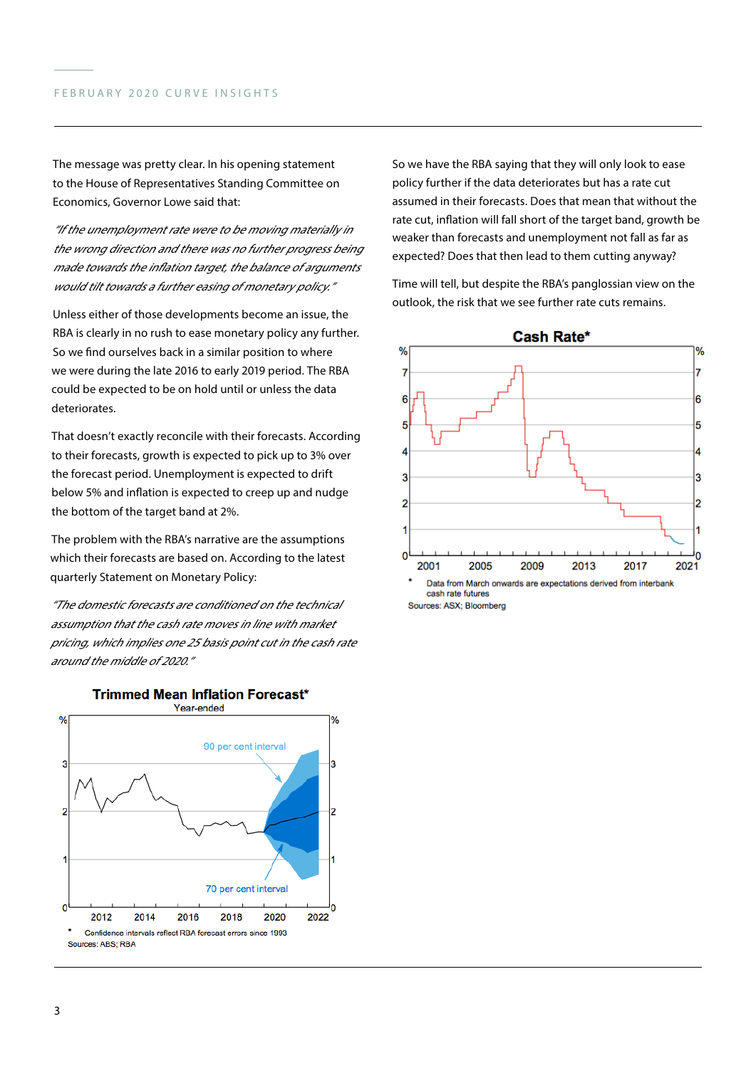The message was pretty clear. In his opening statement to the House of Representatives Standing Committee on Economics, Governor Lowe said that:

"If the unemployment rate were to be moving materially in the wrong direction and there was no further progress being made towards the inflation target, the balance of arguments would tilt towards a further easing of monetary policy."

Unless either of those developments become an issue, the RBA is clearly in no rush to ease monetary policy any further. So we find ourselves back in a similar position to where we were during the late 2016 to early 2019 period. The RBA could be expected to be on hold until or unless the data deteriorates.

That doesn't exactly reconcile with their forecasts. According to their forecasts, growth is expected to pick up to 3% over the forecast period. Unemployment is expected to drift below 5% and inflation is expected to creep up and nudge the bottom of the target band at 2%.

The problem with the RBA's narrative are the assumptions which their forecasts are based on. According to the latest quarterly Statement on Monetary Policy:

"The domestic forecasts are conditioned on the technical assumption that the cash rate moves in line with market pricing, which implies one 25 basis point cut in the cash rate around the middle of 2020."



#### **Trimmed Mean Inflation Forecast\***

So we have the RBA saying that they will only look to ease policy further if the data deteriorates but has a rate cut assumed in their forecasts. Does that mean that without the rate cut, inflation will fall short of the target band, growth be weaker than forecasts and unemployment not fall as far as expected? Does that then lead to them cutting anyway?

Time will tell, but despite the RBA's panglossian view on the outlook, the risk that we see further rate cuts remains.



Sources: ASX; Bloomberg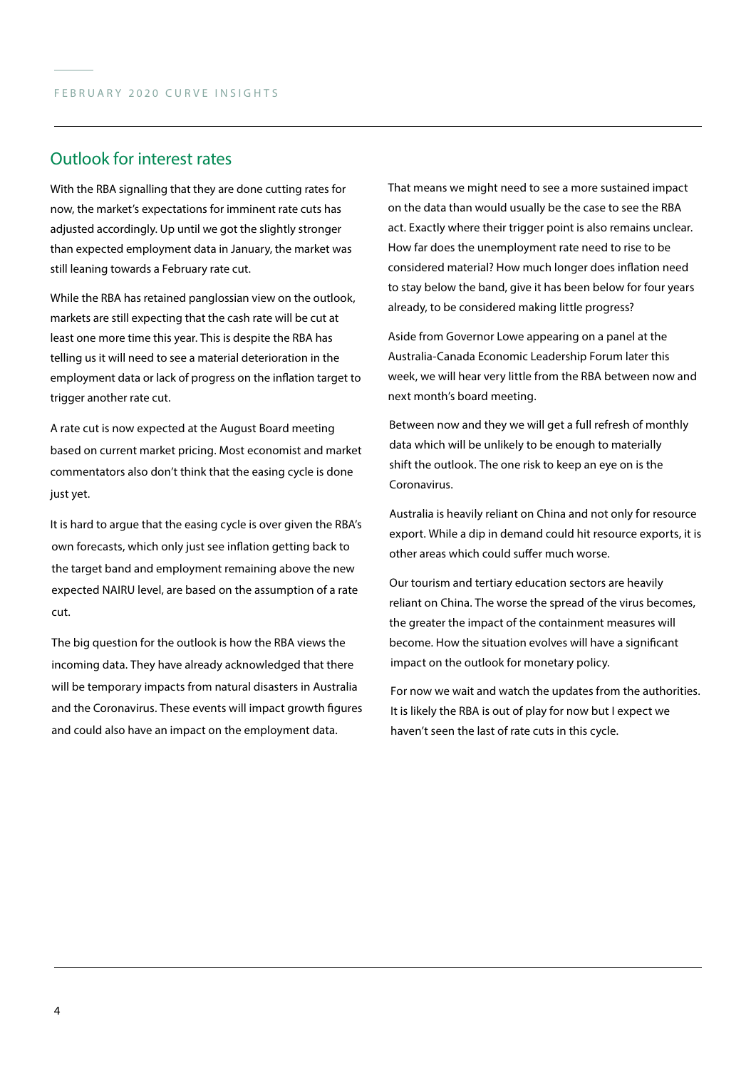### Outlook for interest rates

With the RBA signalling that they are done cutting rates for now, the market's expectations for imminent rate cuts has adjusted accordingly. Up until we got the slightly stronger than expected employment data in January, the market was still leaning towards a February rate cut.

While the RBA has retained panglossian view on the outlook, markets are still expecting that the cash rate will be cut at least one more time this year. This is despite the RBA has telling us it will need to see a material deterioration in the employment data or lack of progress on the inflation target to trigger another rate cut.

A rate cut is now expected at the August Board meeting based on current market pricing. Most economist and market commentators also don't think that the easing cycle is done just yet.

It is hard to argue that the easing cycle is over given the RBA's own forecasts, which only just see inflation getting back to the target band and employment remaining above the new expected NAIRU level, are based on the assumption of a rate cut.

The big question for the outlook is how the RBA views the incoming data. They have already acknowledged that there will be temporary impacts from natural disasters in Australia and the Coronavirus. These events will impact growth figures and could also have an impact on the employment data.

That means we might need to see a more sustained impact on the data than would usually be the case to see the RBA act. Exactly where their trigger point is also remains unclear. How far does the unemployment rate need to rise to be considered material? How much longer does inflation need to stay below the band, give it has been below for four years already, to be considered making little progress?

Aside from Governor Lowe appearing on a panel at the Australia-Canada Economic Leadership Forum later this week, we will hear very little from the RBA between now and next month's board meeting.

Between now and they we will get a full refresh of monthly data which will be unlikely to be enough to materially shift the outlook. The one risk to keep an eye on is the Coronavirus.

Australia is heavily reliant on China and not only for resource export. While a dip in demand could hit resource exports, it is other areas which could suffer much worse.

Our tourism and tertiary education sectors are heavily reliant on China. The worse the spread of the virus becomes, the greater the impact of the containment measures will become. How the situation evolves will have a significant impact on the outlook for monetary policy.

For now we wait and watch the updates from the authorities. It is likely the RBA is out of play for now but I expect we haven't seen the last of rate cuts in this cycle.